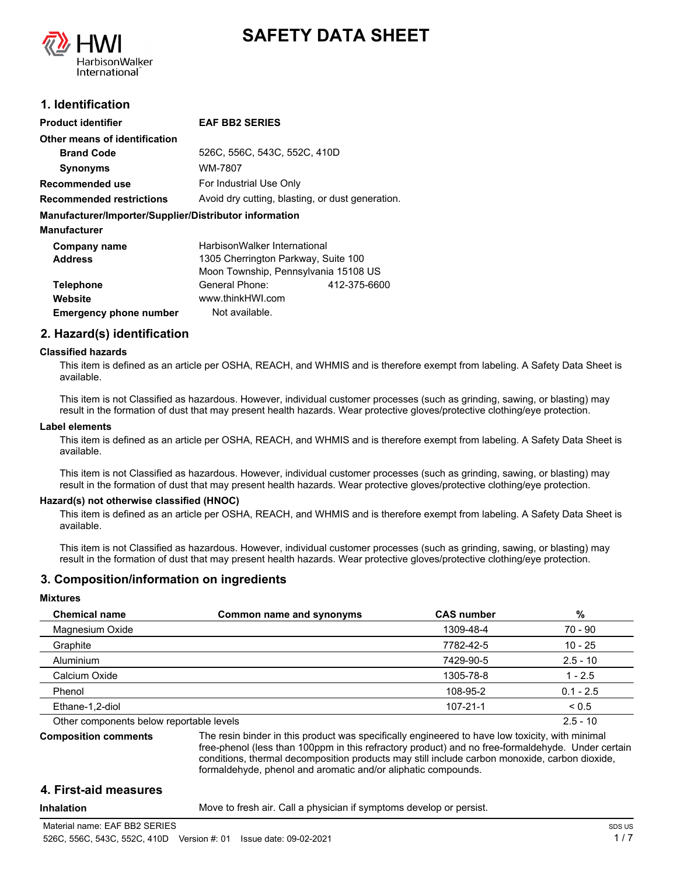



# **1. Identification**

| <b>Product identifier</b>                              | <b>EAF BB2 SERIES</b>                            |              |
|--------------------------------------------------------|--------------------------------------------------|--------------|
|                                                        |                                                  |              |
| Other means of identification                          |                                                  |              |
| <b>Brand Code</b>                                      | 526C, 556C, 543C, 552C, 410D                     |              |
| <b>Synonyms</b>                                        | WM-7807                                          |              |
| Recommended use                                        | For Industrial Use Only                          |              |
| <b>Recommended restrictions</b>                        | Avoid dry cutting, blasting, or dust generation. |              |
| Manufacturer/Importer/Supplier/Distributor information |                                                  |              |
| <b>Manufacturer</b>                                    |                                                  |              |
| Company name                                           | HarbisonWalker International                     |              |
| <b>Address</b>                                         | 1305 Cherrington Parkway, Suite 100              |              |
|                                                        | Moon Township, Pennsylvania 15108 US             |              |
| <b>Telephone</b>                                       | General Phone:                                   | 412-375-6600 |
| Website                                                | www.thinkHWI.com                                 |              |
| <b>Emergency phone number</b>                          | Not available.                                   |              |

# **2. Hazard(s) identification**

#### **Classified hazards**

This item is defined as an article per OSHA, REACH, and WHMIS and is therefore exempt from labeling. A Safety Data Sheet is available.

This item is not Classified as hazardous. However, individual customer processes (such as grinding, sawing, or blasting) may result in the formation of dust that may present health hazards. Wear protective gloves/protective clothing/eye protection.

#### **Label elements**

This item is defined as an article per OSHA, REACH, and WHMIS and is therefore exempt from labeling. A Safety Data Sheet is available.

This item is not Classified as hazardous. However, individual customer processes (such as grinding, sawing, or blasting) may result in the formation of dust that may present health hazards. Wear protective gloves/protective clothing/eye protection.

#### **Hazard(s) not otherwise classified (HNOC)**

This item is defined as an article per OSHA, REACH, and WHMIS and is therefore exempt from labeling. A Safety Data Sheet is available.

This item is not Classified as hazardous. However, individual customer processes (such as grinding, sawing, or blasting) may result in the formation of dust that may present health hazards. Wear protective gloves/protective clothing/eye protection.

#### **3. Composition/information on ingredients**

#### **Mixtures**

| <b>Chemical name</b>                     | Common name and synonyms | <b>CAS number</b> | %           |
|------------------------------------------|--------------------------|-------------------|-------------|
| Magnesium Oxide                          |                          | 1309-48-4         | 70 - 90     |
| Graphite                                 |                          | 7782-42-5         | $10 - 25$   |
| Aluminium                                |                          | 7429-90-5         | $2.5 - 10$  |
| Calcium Oxide                            |                          | 1305-78-8         | $1 - 2.5$   |
| Phenol                                   |                          | 108-95-2          | $0.1 - 2.5$ |
| Ethane-1,2-diol                          |                          | $107 - 21 - 1$    | < 0.5       |
| Other components below reportable levels |                          |                   | $2.5 - 10$  |

**Composition comments**

The resin binder in this product was specifically engineered to have low toxicity, with minimal free-phenol (less than 100ppm in this refractory product) and no free-formaldehyde. Under certain conditions, thermal decomposition products may still include carbon monoxide, carbon dioxide, formaldehyde, phenol and aromatic and/or aliphatic compounds.

# **4. First-aid measures**

**Inhalation** Move to fresh air. Call a physician if symptoms develop or persist.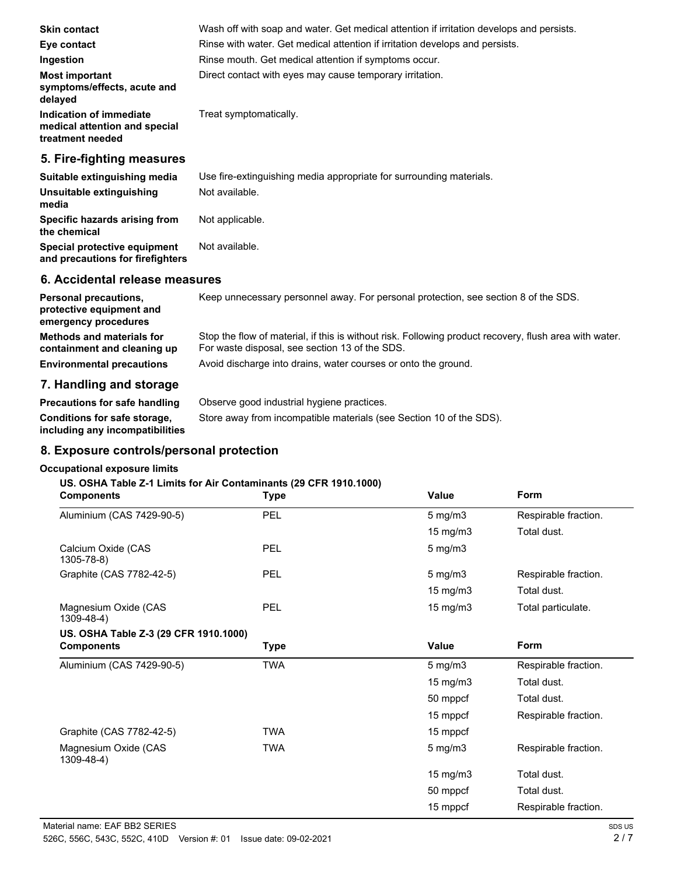| <b>Skin contact</b>                                                          | Wash off with soap and water. Get medical attention if irritation develops and persists.<br>Rinse with water. Get medical attention if irritation develops and persists. |
|------------------------------------------------------------------------------|--------------------------------------------------------------------------------------------------------------------------------------------------------------------------|
| Eye contact                                                                  |                                                                                                                                                                          |
| Ingestion                                                                    | Rinse mouth. Get medical attention if symptoms occur.                                                                                                                    |
| <b>Most important</b><br>symptoms/effects, acute and<br>delayed              | Direct contact with eyes may cause temporary irritation.                                                                                                                 |
| Indication of immediate<br>medical attention and special<br>treatment needed | Treat symptomatically.                                                                                                                                                   |
| 5. Fire-fighting measures                                                    |                                                                                                                                                                          |
| Suitable extinguishing media                                                 | Use fire-extinguishing media appropriate for surrounding materials.                                                                                                      |
| Unsuitable extinguishing<br>media                                            | Not available.                                                                                                                                                           |
| Specific hazards arising from<br>the chemical                                | Not applicable.                                                                                                                                                          |

## **6. Accidental release measures**

**and precautions for firefighters**

Special protective equipment Not available.

| <b>Personal precautions,</b><br>protective equipment and<br>emergency procedures | Keep unnecessary personnel away. For personal protection, see section 8 of the SDS.                                                                      |
|----------------------------------------------------------------------------------|----------------------------------------------------------------------------------------------------------------------------------------------------------|
| <b>Methods and materials for</b><br>containment and cleaning up                  | Stop the flow of material, if this is without risk. Following product recovery, flush area with water.<br>For waste disposal, see section 13 of the SDS. |
| <b>Environmental precautions</b>                                                 | Avoid discharge into drains, water courses or onto the ground.                                                                                           |
| 7 Handling and staggers                                                          |                                                                                                                                                          |

# **7. Handling and storage**

| Precautions for safe handling                                          | Observe good industrial hygiene practices.                          |
|------------------------------------------------------------------------|---------------------------------------------------------------------|
| <b>Conditions for safe storage,</b><br>including any incompatibilities | Store away from incompatible materials (see Section 10 of the SDS). |

# **8. Exposure controls/personal protection**

### **Occupational exposure limits**

## **US. OSHA Table Z-1 Limits for Air Contaminants (29 CFR 1910.1000)**

| <b>Components</b>                     | <b>Type</b> | Value             | <b>Form</b>          |
|---------------------------------------|-------------|-------------------|----------------------|
| Aluminium (CAS 7429-90-5)             | PEL         | $5$ mg/m $3$      | Respirable fraction. |
|                                       |             | $15 \text{ mg/m}$ | Total dust.          |
| Calcium Oxide (CAS<br>1305-78-8)      | PEL         | $5$ mg/m $3$      |                      |
| Graphite (CAS 7782-42-5)              | PEL         | $5$ mg/m $3$      | Respirable fraction. |
|                                       |             | 15 mg/m3          | Total dust.          |
| Magnesium Oxide (CAS<br>1309-48-4)    | PEL         | 15 mg/m3          | Total particulate.   |
| US. OSHA Table Z-3 (29 CFR 1910.1000) |             |                   |                      |
| <b>Components</b>                     | Type        | <b>Value</b>      | Form                 |
| Aluminium (CAS 7429-90-5)             | <b>TWA</b>  | $5$ mg/m $3$      | Respirable fraction. |
|                                       |             | 15 mg/m3          | Total dust.          |
|                                       |             | 50 mppcf          | Total dust.          |
|                                       |             | 15 mppcf          | Respirable fraction. |
| Graphite (CAS 7782-42-5)              | <b>TWA</b>  | 15 mppcf          |                      |
| Magnesium Oxide (CAS<br>1309-48-4)    | <b>TWA</b>  | $5$ mg/m $3$      | Respirable fraction. |
|                                       |             | $15 \text{ mg/m}$ | Total dust.          |
|                                       |             | 50 mppcf          | Total dust.          |
|                                       |             | 15 mppcf          | Respirable fraction. |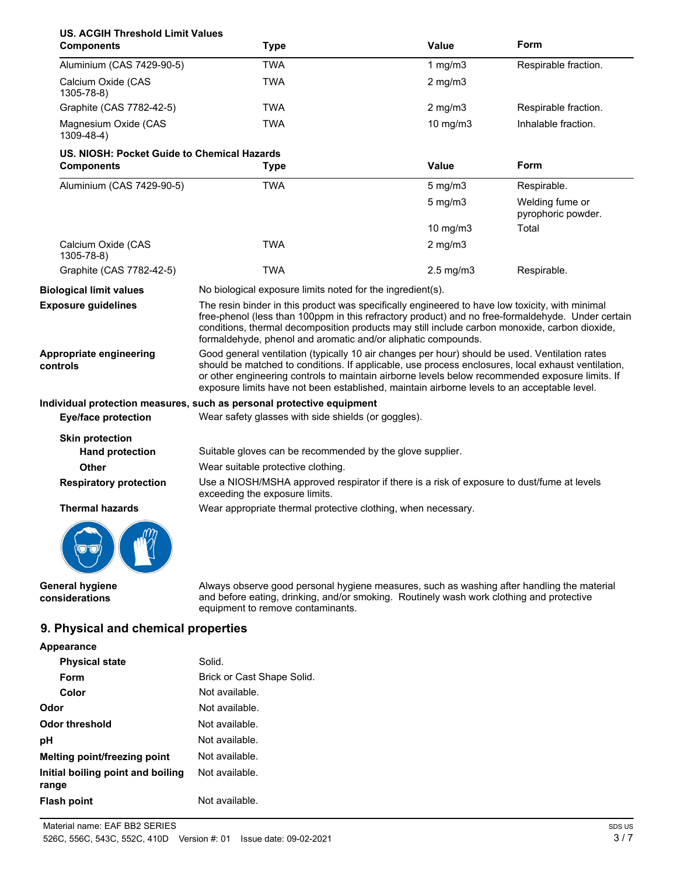| <b>US. ACGIH Threshold Limit Values</b><br><b>Components</b> | <b>Type</b>                                                                                                                                                                                                                                                                                                                                                                                            | Value          | Form                                  |
|--------------------------------------------------------------|--------------------------------------------------------------------------------------------------------------------------------------------------------------------------------------------------------------------------------------------------------------------------------------------------------------------------------------------------------------------------------------------------------|----------------|---------------------------------------|
| Aluminium (CAS 7429-90-5)                                    | <b>TWA</b>                                                                                                                                                                                                                                                                                                                                                                                             | 1 $mg/m3$      | Respirable fraction.                  |
| Calcium Oxide (CAS<br>1305-78-8)                             | TWA                                                                                                                                                                                                                                                                                                                                                                                                    | $2$ mg/m $3$   |                                       |
| Graphite (CAS 7782-42-5)                                     | <b>TWA</b>                                                                                                                                                                                                                                                                                                                                                                                             | $2$ mg/m $3$   | Respirable fraction.                  |
| Magnesium Oxide (CAS<br>1309-48-4)                           | <b>TWA</b>                                                                                                                                                                                                                                                                                                                                                                                             | 10 mg/m3       | Inhalable fraction.                   |
| US. NIOSH: Pocket Guide to Chemical Hazards                  |                                                                                                                                                                                                                                                                                                                                                                                                        |                |                                       |
| <b>Components</b>                                            | <b>Type</b>                                                                                                                                                                                                                                                                                                                                                                                            | Value          | Form                                  |
| Aluminium (CAS 7429-90-5)                                    | <b>TWA</b>                                                                                                                                                                                                                                                                                                                                                                                             | $5$ mg/m $3$   | Respirable.                           |
|                                                              |                                                                                                                                                                                                                                                                                                                                                                                                        | $5$ mg/m $3$   | Welding fume or<br>pyrophoric powder. |
|                                                              |                                                                                                                                                                                                                                                                                                                                                                                                        | 10 mg/m3       | Total                                 |
| Calcium Oxide (CAS<br>1305-78-8)                             | <b>TWA</b>                                                                                                                                                                                                                                                                                                                                                                                             | $2$ mg/m $3$   |                                       |
| Graphite (CAS 7782-42-5)                                     | <b>TWA</b>                                                                                                                                                                                                                                                                                                                                                                                             | $2.5$ mg/m $3$ | Respirable.                           |
| <b>Biological limit values</b>                               | No biological exposure limits noted for the ingredient(s).                                                                                                                                                                                                                                                                                                                                             |                |                                       |
| <b>Exposure guidelines</b>                                   | The resin binder in this product was specifically engineered to have low toxicity, with minimal<br>free-phenol (less than 100ppm in this refractory product) and no free-formaldehyde. Under certain<br>conditions, thermal decomposition products may still include carbon monoxide, carbon dioxide,<br>formaldehyde, phenol and aromatic and/or aliphatic compounds.                                 |                |                                       |
| Appropriate engineering<br>controls                          | Good general ventilation (typically 10 air changes per hour) should be used. Ventilation rates<br>should be matched to conditions. If applicable, use process enclosures, local exhaust ventilation,<br>or other engineering controls to maintain airborne levels below recommended exposure limits. If<br>exposure limits have not been established, maintain airborne levels to an acceptable level. |                |                                       |
|                                                              | Individual protection measures, such as personal protective equipment                                                                                                                                                                                                                                                                                                                                  |                |                                       |
| <b>Eye/face protection</b>                                   | Wear safety glasses with side shields (or goggles).                                                                                                                                                                                                                                                                                                                                                    |                |                                       |
| <b>Skin protection</b>                                       |                                                                                                                                                                                                                                                                                                                                                                                                        |                |                                       |
| <b>Hand protection</b>                                       | Suitable gloves can be recommended by the glove supplier.                                                                                                                                                                                                                                                                                                                                              |                |                                       |
| Other                                                        | Wear suitable protective clothing.                                                                                                                                                                                                                                                                                                                                                                     |                |                                       |
| <b>Respiratory protection</b>                                | Use a NIOSH/MSHA approved respirator if there is a risk of exposure to dust/fume at levels<br>exceeding the exposure limits.                                                                                                                                                                                                                                                                           |                |                                       |
| <b>Thermal hazards</b>                                       | Wear appropriate thermal protective clothing, when necessary.                                                                                                                                                                                                                                                                                                                                          |                |                                       |
|                                                              |                                                                                                                                                                                                                                                                                                                                                                                                        |                |                                       |

**General hygiene considerations**

Always observe good personal hygiene measures, such as washing after handling the material and before eating, drinking, and/or smoking. Routinely wash work clothing and protective equipment to remove contaminants.

# **9. Physical and chemical properties**

 $\mathbb{Z}$ 

| Appearance                                 |                            |
|--------------------------------------------|----------------------------|
| <b>Physical state</b>                      | Solid.                     |
| Form                                       | Brick or Cast Shape Solid. |
| Color                                      | Not available.             |
| Odor                                       | Not available.             |
| Odor threshold                             | Not available.             |
| рH                                         | Not available.             |
| <b>Melting point/freezing point</b>        | Not available.             |
| Initial boiling point and boiling<br>range | Not available.             |
| <b>Flash point</b>                         | Not available.             |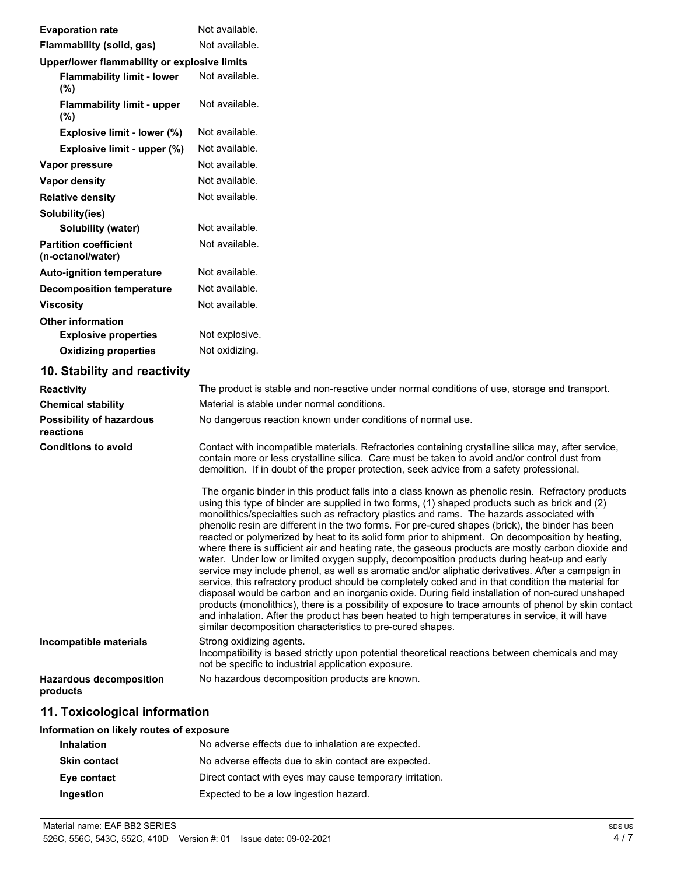| <b>Evaporation rate</b>                           | Not available.                                                                                                                                                                                                                                                                                                                                                                                                                                                                                                                                                                                                                                                                                                                                                                                                                                                                                                                                                                                                                                                                                                                                                                                                                                                                                         |
|---------------------------------------------------|--------------------------------------------------------------------------------------------------------------------------------------------------------------------------------------------------------------------------------------------------------------------------------------------------------------------------------------------------------------------------------------------------------------------------------------------------------------------------------------------------------------------------------------------------------------------------------------------------------------------------------------------------------------------------------------------------------------------------------------------------------------------------------------------------------------------------------------------------------------------------------------------------------------------------------------------------------------------------------------------------------------------------------------------------------------------------------------------------------------------------------------------------------------------------------------------------------------------------------------------------------------------------------------------------------|
| Flammability (solid, gas)                         | Not available.                                                                                                                                                                                                                                                                                                                                                                                                                                                                                                                                                                                                                                                                                                                                                                                                                                                                                                                                                                                                                                                                                                                                                                                                                                                                                         |
| Upper/lower flammability or explosive limits      |                                                                                                                                                                                                                                                                                                                                                                                                                                                                                                                                                                                                                                                                                                                                                                                                                                                                                                                                                                                                                                                                                                                                                                                                                                                                                                        |
| <b>Flammability limit - lower</b><br>(%)          | Not available.                                                                                                                                                                                                                                                                                                                                                                                                                                                                                                                                                                                                                                                                                                                                                                                                                                                                                                                                                                                                                                                                                                                                                                                                                                                                                         |
| <b>Flammability limit - upper</b><br>(%)          | Not available.                                                                                                                                                                                                                                                                                                                                                                                                                                                                                                                                                                                                                                                                                                                                                                                                                                                                                                                                                                                                                                                                                                                                                                                                                                                                                         |
| Explosive limit - lower (%)                       | Not available.                                                                                                                                                                                                                                                                                                                                                                                                                                                                                                                                                                                                                                                                                                                                                                                                                                                                                                                                                                                                                                                                                                                                                                                                                                                                                         |
| Explosive limit - upper (%)                       | Not available.                                                                                                                                                                                                                                                                                                                                                                                                                                                                                                                                                                                                                                                                                                                                                                                                                                                                                                                                                                                                                                                                                                                                                                                                                                                                                         |
| Vapor pressure                                    | Not available.                                                                                                                                                                                                                                                                                                                                                                                                                                                                                                                                                                                                                                                                                                                                                                                                                                                                                                                                                                                                                                                                                                                                                                                                                                                                                         |
| Vapor density                                     | Not available.                                                                                                                                                                                                                                                                                                                                                                                                                                                                                                                                                                                                                                                                                                                                                                                                                                                                                                                                                                                                                                                                                                                                                                                                                                                                                         |
| <b>Relative density</b>                           | Not available.                                                                                                                                                                                                                                                                                                                                                                                                                                                                                                                                                                                                                                                                                                                                                                                                                                                                                                                                                                                                                                                                                                                                                                                                                                                                                         |
| Solubility(ies)                                   |                                                                                                                                                                                                                                                                                                                                                                                                                                                                                                                                                                                                                                                                                                                                                                                                                                                                                                                                                                                                                                                                                                                                                                                                                                                                                                        |
| Solubility (water)                                | Not available.                                                                                                                                                                                                                                                                                                                                                                                                                                                                                                                                                                                                                                                                                                                                                                                                                                                                                                                                                                                                                                                                                                                                                                                                                                                                                         |
| <b>Partition coefficient</b><br>(n-octanol/water) | Not available.                                                                                                                                                                                                                                                                                                                                                                                                                                                                                                                                                                                                                                                                                                                                                                                                                                                                                                                                                                                                                                                                                                                                                                                                                                                                                         |
| <b>Auto-ignition temperature</b>                  | Not available.                                                                                                                                                                                                                                                                                                                                                                                                                                                                                                                                                                                                                                                                                                                                                                                                                                                                                                                                                                                                                                                                                                                                                                                                                                                                                         |
| <b>Decomposition temperature</b>                  | Not available.                                                                                                                                                                                                                                                                                                                                                                                                                                                                                                                                                                                                                                                                                                                                                                                                                                                                                                                                                                                                                                                                                                                                                                                                                                                                                         |
| <b>Viscosity</b>                                  | Not available.                                                                                                                                                                                                                                                                                                                                                                                                                                                                                                                                                                                                                                                                                                                                                                                                                                                                                                                                                                                                                                                                                                                                                                                                                                                                                         |
| <b>Other information</b>                          |                                                                                                                                                                                                                                                                                                                                                                                                                                                                                                                                                                                                                                                                                                                                                                                                                                                                                                                                                                                                                                                                                                                                                                                                                                                                                                        |
| <b>Explosive properties</b>                       | Not explosive.                                                                                                                                                                                                                                                                                                                                                                                                                                                                                                                                                                                                                                                                                                                                                                                                                                                                                                                                                                                                                                                                                                                                                                                                                                                                                         |
| <b>Oxidizing properties</b>                       | Not oxidizing.                                                                                                                                                                                                                                                                                                                                                                                                                                                                                                                                                                                                                                                                                                                                                                                                                                                                                                                                                                                                                                                                                                                                                                                                                                                                                         |
| 10. Stability and reactivity                      |                                                                                                                                                                                                                                                                                                                                                                                                                                                                                                                                                                                                                                                                                                                                                                                                                                                                                                                                                                                                                                                                                                                                                                                                                                                                                                        |
| Reactivity                                        | The product is stable and non-reactive under normal conditions of use, storage and transport.                                                                                                                                                                                                                                                                                                                                                                                                                                                                                                                                                                                                                                                                                                                                                                                                                                                                                                                                                                                                                                                                                                                                                                                                          |
| <b>Chemical stability</b>                         | Material is stable under normal conditions.                                                                                                                                                                                                                                                                                                                                                                                                                                                                                                                                                                                                                                                                                                                                                                                                                                                                                                                                                                                                                                                                                                                                                                                                                                                            |
| <b>Possibility of hazardous</b><br>reactions      | No dangerous reaction known under conditions of normal use.                                                                                                                                                                                                                                                                                                                                                                                                                                                                                                                                                                                                                                                                                                                                                                                                                                                                                                                                                                                                                                                                                                                                                                                                                                            |
| <b>Conditions to avoid</b>                        | Contact with incompatible materials. Refractories containing crystalline silica may, after service,<br>contain more or less crystalline silica. Care must be taken to avoid and/or control dust from<br>demolition. If in doubt of the proper protection, seek advice from a safety professional.                                                                                                                                                                                                                                                                                                                                                                                                                                                                                                                                                                                                                                                                                                                                                                                                                                                                                                                                                                                                      |
|                                                   | The organic binder in this product falls into a class known as phenolic resin. Refractory products<br>using this type of binder are supplied in two forms, (1) shaped products such as brick and (2)<br>monolithics/specialties such as refractory plastics and rams. The hazards associated with<br>phenolic resin are different in the two forms. For pre-cured shapes (brick), the binder has been<br>reacted or polymerized by heat to its solid form prior to shipment. On decomposition by heating,<br>where there is sufficient air and heating rate, the gaseous products are mostly carbon dioxide and<br>water. Under low or limited oxygen supply, decomposition products during heat-up and early<br>service may include phenol, as well as aromatic and/or aliphatic derivatives. After a campaign in<br>service, this refractory product should be completely coked and in that condition the material for<br>disposal would be carbon and an inorganic oxide. During field installation of non-cured unshaped<br>products (monolithics), there is a possibility of exposure to trace amounts of phenol by skin contact<br>and inhalation. After the product has been heated to high temperatures in service, it will have<br>similar decomposition characteristics to pre-cured shapes. |
| Incompatible materials                            | Strong oxidizing agents.<br>Incompatibility is based strictly upon potential theoretical reactions between chemicals and may<br>not be specific to industrial application exposure.                                                                                                                                                                                                                                                                                                                                                                                                                                                                                                                                                                                                                                                                                                                                                                                                                                                                                                                                                                                                                                                                                                                    |
| <b>Hazardous decomposition</b><br>products        | No hazardous decomposition products are known.                                                                                                                                                                                                                                                                                                                                                                                                                                                                                                                                                                                                                                                                                                                                                                                                                                                                                                                                                                                                                                                                                                                                                                                                                                                         |
| 11. Toxicological information                     |                                                                                                                                                                                                                                                                                                                                                                                                                                                                                                                                                                                                                                                                                                                                                                                                                                                                                                                                                                                                                                                                                                                                                                                                                                                                                                        |
| Information on likely routes of exposure          |                                                                                                                                                                                                                                                                                                                                                                                                                                                                                                                                                                                                                                                                                                                                                                                                                                                                                                                                                                                                                                                                                                                                                                                                                                                                                                        |
|                                                   |                                                                                                                                                                                                                                                                                                                                                                                                                                                                                                                                                                                                                                                                                                                                                                                                                                                                                                                                                                                                                                                                                                                                                                                                                                                                                                        |

| <b>Inhalation</b>   | No adverse effects due to inhalation are expected.       |
|---------------------|----------------------------------------------------------|
| <b>Skin contact</b> | No adverse effects due to skin contact are expected.     |
| Eye contact         | Direct contact with eyes may cause temporary irritation. |
| Ingestion           | Expected to be a low ingestion hazard.                   |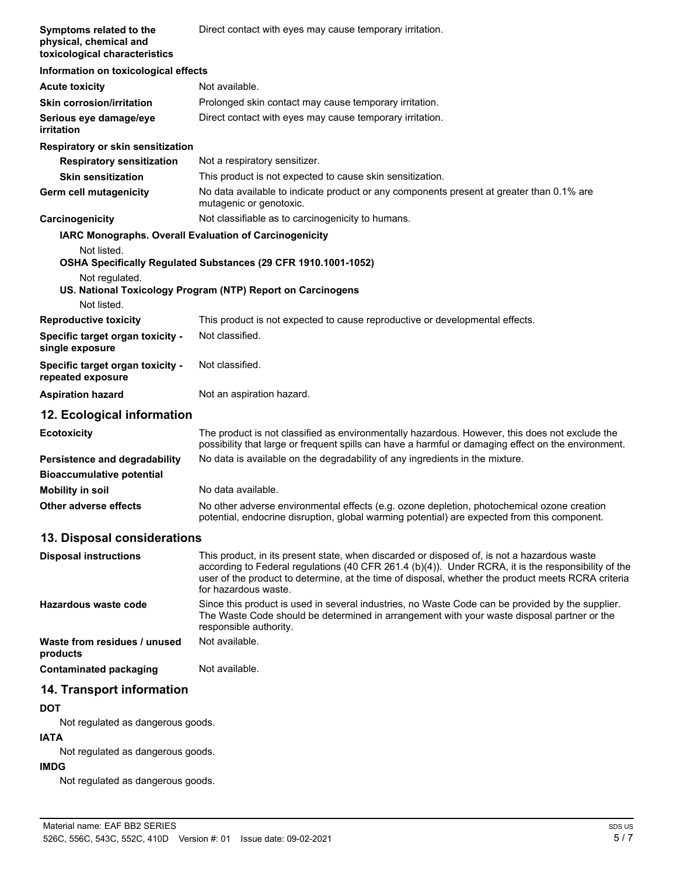| Symptoms related to the<br>physical, chemical and<br>toxicological characteristics | Direct contact with eyes may cause temporary irritation.                                                                                                                                                                                                                                                                         |
|------------------------------------------------------------------------------------|----------------------------------------------------------------------------------------------------------------------------------------------------------------------------------------------------------------------------------------------------------------------------------------------------------------------------------|
| Information on toxicological effects                                               |                                                                                                                                                                                                                                                                                                                                  |
| <b>Acute toxicity</b>                                                              | Not available.                                                                                                                                                                                                                                                                                                                   |
| <b>Skin corrosion/irritation</b>                                                   | Prolonged skin contact may cause temporary irritation.                                                                                                                                                                                                                                                                           |
| Serious eye damage/eye<br>irritation                                               | Direct contact with eyes may cause temporary irritation.                                                                                                                                                                                                                                                                         |
| Respiratory or skin sensitization                                                  |                                                                                                                                                                                                                                                                                                                                  |
| <b>Respiratory sensitization</b>                                                   | Not a respiratory sensitizer.                                                                                                                                                                                                                                                                                                    |
| <b>Skin sensitization</b>                                                          | This product is not expected to cause skin sensitization.                                                                                                                                                                                                                                                                        |
| Germ cell mutagenicity                                                             | No data available to indicate product or any components present at greater than 0.1% are<br>mutagenic or genotoxic.                                                                                                                                                                                                              |
| Carcinogenicity                                                                    | Not classifiable as to carcinogenicity to humans.                                                                                                                                                                                                                                                                                |
| IARC Monographs. Overall Evaluation of Carcinogenicity                             |                                                                                                                                                                                                                                                                                                                                  |
| Not listed.                                                                        | OSHA Specifically Regulated Substances (29 CFR 1910.1001-1052)                                                                                                                                                                                                                                                                   |
| Not regulated.                                                                     | US. National Toxicology Program (NTP) Report on Carcinogens                                                                                                                                                                                                                                                                      |
| Not listed.                                                                        |                                                                                                                                                                                                                                                                                                                                  |
| <b>Reproductive toxicity</b>                                                       | This product is not expected to cause reproductive or developmental effects.                                                                                                                                                                                                                                                     |
| Specific target organ toxicity -<br>single exposure                                | Not classified.                                                                                                                                                                                                                                                                                                                  |
| Specific target organ toxicity -<br>repeated exposure                              | Not classified.                                                                                                                                                                                                                                                                                                                  |
| <b>Aspiration hazard</b>                                                           | Not an aspiration hazard.                                                                                                                                                                                                                                                                                                        |
| 12. Ecological information                                                         |                                                                                                                                                                                                                                                                                                                                  |
| <b>Ecotoxicity</b>                                                                 | The product is not classified as environmentally hazardous. However, this does not exclude the<br>possibility that large or frequent spills can have a harmful or damaging effect on the environment.                                                                                                                            |
| Persistence and degradability<br><b>Bioaccumulative potential</b>                  | No data is available on the degradability of any ingredients in the mixture.                                                                                                                                                                                                                                                     |
| <b>Mobility in soil</b>                                                            | No data available.                                                                                                                                                                                                                                                                                                               |
| Other adverse effects                                                              | No other adverse environmental effects (e.g. ozone depletion, photochemical ozone creation<br>potential, endocrine disruption, global warming potential) are expected from this component.                                                                                                                                       |
| 13. Disposal considerations                                                        |                                                                                                                                                                                                                                                                                                                                  |
| <b>Disposal instructions</b>                                                       | This product, in its present state, when discarded or disposed of, is not a hazardous waste<br>according to Federal regulations (40 CFR 261.4 (b)(4)). Under RCRA, it is the responsibility of the<br>user of the product to determine, at the time of disposal, whether the product meets RCRA criteria<br>for hazardous waste. |
| Hazardous waste code                                                               | Since this product is used in several industries, no Waste Code can be provided by the supplier.<br>The Waste Code should be determined in arrangement with your waste disposal partner or the<br>responsible authority.                                                                                                         |
| Waste from residues / unused<br>products                                           | Not available.                                                                                                                                                                                                                                                                                                                   |
| <b>Contaminated packaging</b>                                                      | Not available.                                                                                                                                                                                                                                                                                                                   |
| 14. Transport information                                                          |                                                                                                                                                                                                                                                                                                                                  |
| <b>DOT</b>                                                                         |                                                                                                                                                                                                                                                                                                                                  |

# Not regulated as dangerous goods.

# **IATA**

Not regulated as dangerous goods.

# **IMDG**

Not regulated as dangerous goods.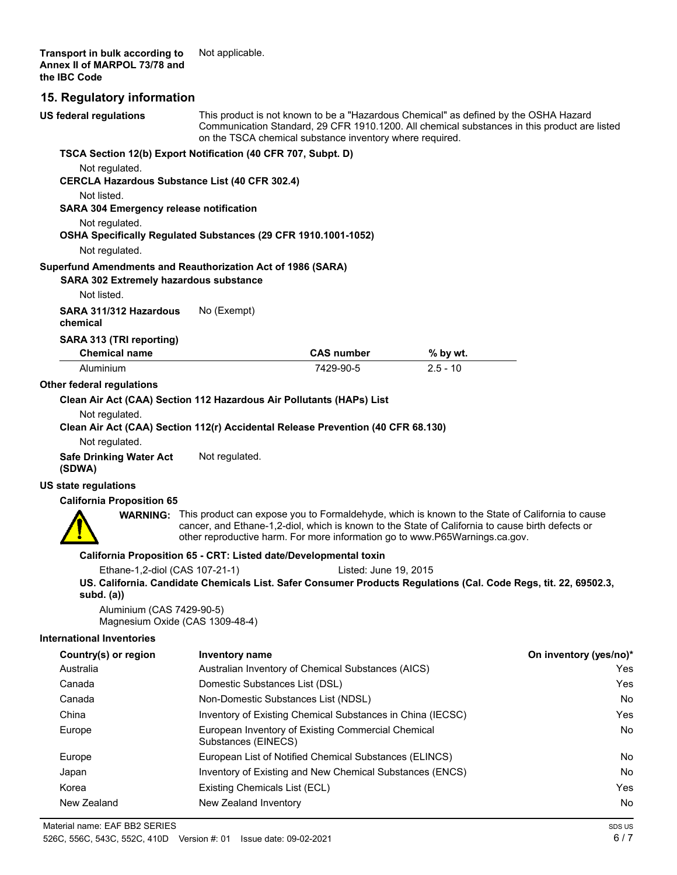# **15. Regulatory information**

| <b>US federal regulations</b>                                                    | This product is not known to be a "Hazardous Chemical" as defined by the OSHA Hazard<br>Communication Standard, 29 CFR 1910.1200. All chemical substances in this product are listed<br>on the TSCA chemical substance inventory where required. |                                                                                                                                                                                                                                                                                                    |            |                        |
|----------------------------------------------------------------------------------|--------------------------------------------------------------------------------------------------------------------------------------------------------------------------------------------------------------------------------------------------|----------------------------------------------------------------------------------------------------------------------------------------------------------------------------------------------------------------------------------------------------------------------------------------------------|------------|------------------------|
| TSCA Section 12(b) Export Notification (40 CFR 707, Subpt. D)                    |                                                                                                                                                                                                                                                  |                                                                                                                                                                                                                                                                                                    |            |                        |
| Not regulated.<br>CERCLA Hazardous Substance List (40 CFR 302.4)                 |                                                                                                                                                                                                                                                  |                                                                                                                                                                                                                                                                                                    |            |                        |
| Not listed.<br><b>SARA 304 Emergency release notification</b>                    |                                                                                                                                                                                                                                                  |                                                                                                                                                                                                                                                                                                    |            |                        |
| Not regulated.                                                                   |                                                                                                                                                                                                                                                  |                                                                                                                                                                                                                                                                                                    |            |                        |
| OSHA Specifically Regulated Substances (29 CFR 1910.1001-1052)                   |                                                                                                                                                                                                                                                  |                                                                                                                                                                                                                                                                                                    |            |                        |
| Not regulated.                                                                   |                                                                                                                                                                                                                                                  |                                                                                                                                                                                                                                                                                                    |            |                        |
| Superfund Amendments and Reauthorization Act of 1986 (SARA)                      |                                                                                                                                                                                                                                                  |                                                                                                                                                                                                                                                                                                    |            |                        |
| SARA 302 Extremely hazardous substance                                           |                                                                                                                                                                                                                                                  |                                                                                                                                                                                                                                                                                                    |            |                        |
| Not listed.                                                                      |                                                                                                                                                                                                                                                  |                                                                                                                                                                                                                                                                                                    |            |                        |
| SARA 311/312 Hazardous<br>chemical                                               | No (Exempt)                                                                                                                                                                                                                                      |                                                                                                                                                                                                                                                                                                    |            |                        |
| SARA 313 (TRI reporting)                                                         |                                                                                                                                                                                                                                                  |                                                                                                                                                                                                                                                                                                    |            |                        |
| <b>Chemical name</b>                                                             |                                                                                                                                                                                                                                                  | <b>CAS number</b>                                                                                                                                                                                                                                                                                  | % by wt.   |                        |
| Aluminium                                                                        |                                                                                                                                                                                                                                                  | 7429-90-5                                                                                                                                                                                                                                                                                          | $2.5 - 10$ |                        |
| Other federal regulations                                                        |                                                                                                                                                                                                                                                  |                                                                                                                                                                                                                                                                                                    |            |                        |
| Clean Air Act (CAA) Section 112 Hazardous Air Pollutants (HAPs) List             |                                                                                                                                                                                                                                                  |                                                                                                                                                                                                                                                                                                    |            |                        |
| Not regulated.                                                                   |                                                                                                                                                                                                                                                  |                                                                                                                                                                                                                                                                                                    |            |                        |
| Clean Air Act (CAA) Section 112(r) Accidental Release Prevention (40 CFR 68.130) |                                                                                                                                                                                                                                                  |                                                                                                                                                                                                                                                                                                    |            |                        |
| Not regulated.                                                                   |                                                                                                                                                                                                                                                  |                                                                                                                                                                                                                                                                                                    |            |                        |
| <b>Safe Drinking Water Act</b><br>(SDWA)                                         | Not regulated.                                                                                                                                                                                                                                   |                                                                                                                                                                                                                                                                                                    |            |                        |
| <b>US state regulations</b>                                                      |                                                                                                                                                                                                                                                  |                                                                                                                                                                                                                                                                                                    |            |                        |
| <b>California Proposition 65</b>                                                 |                                                                                                                                                                                                                                                  |                                                                                                                                                                                                                                                                                                    |            |                        |
|                                                                                  |                                                                                                                                                                                                                                                  | <b>WARNING:</b> This product can expose you to Formaldehyde, which is known to the State of California to cause<br>cancer, and Ethane-1,2-diol, which is known to the State of California to cause birth defects or<br>other reproductive harm. For more information go to www.P65Warnings.ca.gov. |            |                        |
| California Proposition 65 - CRT: Listed date/Developmental toxin                 |                                                                                                                                                                                                                                                  |                                                                                                                                                                                                                                                                                                    |            |                        |
| Ethane-1,2-diol (CAS 107-21-1)                                                   |                                                                                                                                                                                                                                                  | Listed: June 19, 2015                                                                                                                                                                                                                                                                              |            |                        |
| subd. (a))                                                                       |                                                                                                                                                                                                                                                  | US. California. Candidate Chemicals List. Safer Consumer Products Regulations (Cal. Code Regs, tit. 22, 69502.3,                                                                                                                                                                                   |            |                        |
| Aluminium (CAS 7429-90-5)<br>Magnesium Oxide (CAS 1309-48-4)                     |                                                                                                                                                                                                                                                  |                                                                                                                                                                                                                                                                                                    |            |                        |
| <b>International Inventories</b>                                                 |                                                                                                                                                                                                                                                  |                                                                                                                                                                                                                                                                                                    |            |                        |
| Country(s) or region                                                             | <b>Inventory name</b>                                                                                                                                                                                                                            |                                                                                                                                                                                                                                                                                                    |            | On inventory (yes/no)* |
| Australia                                                                        |                                                                                                                                                                                                                                                  | Australian Inventory of Chemical Substances (AICS)                                                                                                                                                                                                                                                 |            | Yes                    |
| Canada                                                                           | Domestic Substances List (DSL)                                                                                                                                                                                                                   |                                                                                                                                                                                                                                                                                                    |            | Yes                    |
| Canada                                                                           |                                                                                                                                                                                                                                                  | Non-Domestic Substances List (NDSL)                                                                                                                                                                                                                                                                |            | No                     |
| China                                                                            |                                                                                                                                                                                                                                                  | Inventory of Existing Chemical Substances in China (IECSC)                                                                                                                                                                                                                                         |            | Yes                    |
| Europe                                                                           | Substances (EINECS)                                                                                                                                                                                                                              | European Inventory of Existing Commercial Chemical                                                                                                                                                                                                                                                 |            | No                     |
| Europe                                                                           |                                                                                                                                                                                                                                                  | European List of Notified Chemical Substances (ELINCS)                                                                                                                                                                                                                                             |            | No                     |
| Japan                                                                            |                                                                                                                                                                                                                                                  | Inventory of Existing and New Chemical Substances (ENCS)                                                                                                                                                                                                                                           |            | No                     |
| Korea                                                                            | Existing Chemicals List (ECL)                                                                                                                                                                                                                    |                                                                                                                                                                                                                                                                                                    |            | Yes                    |

New Zealand New Zealand Inventory No